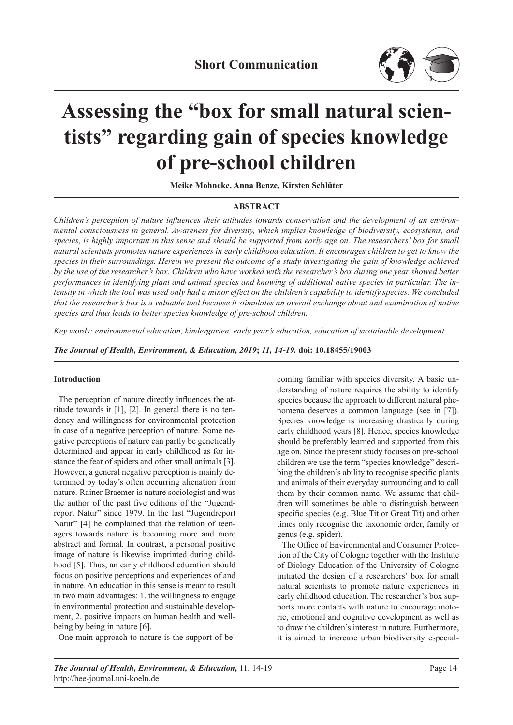

# **Assessing the "box for small natural scientists" regarding gain of species knowledge of pre-school children**

**Meike Mohneke, Anna Benze, Kirsten Schlüter**

## **ABSTRACT**

*Children's perception of nature influences their attitudes towards conservation and the development of an environmental consciousness in general. Awareness for diversity, which implies knowledge of biodiversity, ecosystems, and species, is highly important in this sense and should be supported from early age on. The researchers' box for small natural scientists promotes nature experiences in early childhood education. It encourages children to get to know the species in their surroundings. Herein we present the outcome of a study investigating the gain of knowledge achieved by the use of the researcher's box. Children who have worked with the researcher's box during one year showed better performances in identifying plant and animal species and knowing of additional native species in particular. The intensity in which the tool was used only had a minor effect on the children's capability to identify species. We concluded that the researcher's box is a valuable tool because it stimulates an overall exchange about and examination of native species and thus leads to better species knowledge of pre-school children.*

*Key words: environmental education, kindergarten, early year's education, education of sustainable development*

*The Journal of Health, Environment, & Education, 2019***;** *11, 14-19.* **doi: 10.18455/19003**

## **Introduction**

The perception of nature directly influences the attitude towards it [1], [2]. In general there is no tendency and willingness for environmental protection in case of a negative perception of nature. Some negative perceptions of nature can partly be genetically determined and appear in early childhood as for instance the fear of spiders and other small animals [3]. However, a general negative perception is mainly determined by today's often occurring alienation from nature. Rainer Braemer is nature sociologist and was the author of the past five editions of the "Jugendreport Natur" since 1979. In the last "Jugendreport Natur" [4] he complained that the relation of teenagers towards nature is becoming more and more abstract and formal. In contrast, a personal positive image of nature is likewise imprinted during childhood [5]. Thus, an early childhood education should focus on positive perceptions and experiences of and in nature. An education in this sense is meant to result in two main advantages: 1. the willingness to engage in environmental protection and sustainable development, 2. positive impacts on human health and wellbeing by being in nature [6].

One main approach to nature is the support of be-

coming familiar with species diversity. A basic understanding of nature requires the ability to identify species because the approach to different natural phenomena deserves a common language (see in [7]). Species knowledge is increasing drastically during early childhood years [8]. Hence, species knowledge should be preferably learned and supported from this age on. Since the present study focuses on pre-school children we use the term "species knowledge" describing the children's ability to recognise specific plants and animals of their everyday surrounding and to call them by their common name. We assume that children will sometimes be able to distinguish between specific species (e.g. Blue Tit or Great Tit) and other times only recognise the taxonomic order, family or genus (e.g. spider).

The Office of Environmental and Consumer Protection of the City of Cologne together with the Institute of Biology Education of the University of Cologne initiated the design of a researchers' box for small natural scientists to promote nature experiences in early childhood education. The researcher's box supports more contacts with nature to encourage motoric, emotional and cognitive development as well as to draw the children's interest in nature. Furthermore, it is aimed to increase urban biodiversity especial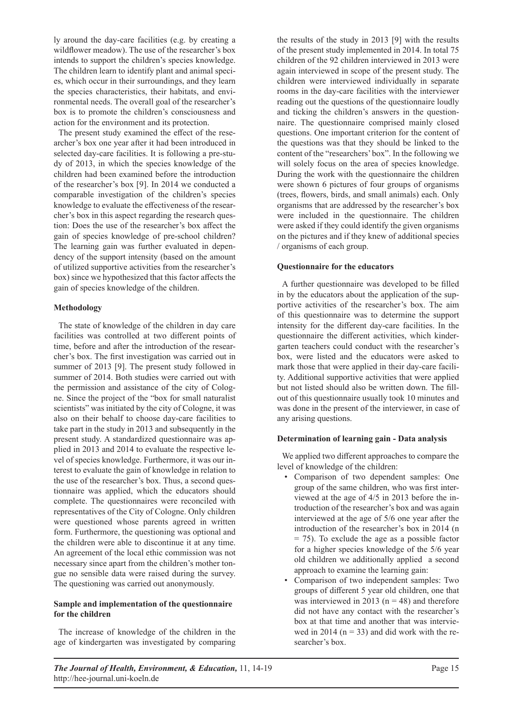ly around the day-care facilities (e.g. by creating a wildflower meadow). The use of the researcher's box intends to support the children's species knowledge. The children learn to identify plant and animal species, which occur in their surroundings, and they learn the species characteristics, their habitats, and environmental needs. The overall goal of the researcher's box is to promote the children's consciousness and action for the environment and its protection.

The present study examined the effect of the researcher's box one year after it had been introduced in selected day-care facilities. It is following a pre-study of 2013, in which the species knowledge of the children had been examined before the introduction of the researcher's box [9]. In 2014 we conducted a comparable investigation of the children's species knowledge to evaluate the effectiveness of the researcher's box in this aspect regarding the research question: Does the use of the researcher's box affect the gain of species knowledge of pre-school children? The learning gain was further evaluated in dependency of the support intensity (based on the amount of utilized supportive activities from the researcher's box) since we hypothesized that this factor affects the gain of species knowledge of the children.

# **Methodology**

The state of knowledge of the children in day care facilities was controlled at two different points of time, before and after the introduction of the researcher's box. The first investigation was carried out in summer of 2013 [9]. The present study followed in summer of 2014. Both studies were carried out with the permission and assistance of the city of Cologne. Since the project of the "box for small naturalist scientists" was initiated by the city of Cologne, it was also on their behalf to choose day-care facilities to take part in the study in 2013 and subsequently in the present study. A standardized questionnaire was applied in 2013 and 2014 to evaluate the respective level of species knowledge. Furthermore, it was our interest to evaluate the gain of knowledge in relation to the use of the researcher's box. Thus, a second questionnaire was applied, which the educators should complete. The questionnaires were reconciled with representatives of the City of Cologne. Only children were questioned whose parents agreed in written form. Furthermore, the questioning was optional and the children were able to discontinue it at any time. An agreement of the local ethic commission was not necessary since apart from the children's mother tongue no sensible data were raised during the survey. The questioning was carried out anonymously.

## **Sample and implementation of the questionnaire for the children**

The increase of knowledge of the children in the age of kindergarten was investigated by comparing the results of the study in 2013 [9] with the results of the present study implemented in 2014. In total 75 children of the 92 children interviewed in 2013 were again interviewed in scope of the present study. The children were interviewed individually in separate rooms in the day-care facilities with the interviewer reading out the questions of the questionnaire loudly and ticking the children's answers in the questionnaire. The questionnaire comprised mainly closed questions. One important criterion for the content of the questions was that they should be linked to the content of the "researchers' box". In the following we will solely focus on the area of species knowledge. During the work with the questionnaire the children were shown 6 pictures of four groups of organisms (trees, flowers, birds, and small animals) each. Only organisms that are addressed by the researcher's box were included in the questionnaire. The children were asked if they could identify the given organisms on the pictures and if they knew of additional species / organisms of each group.

## **Questionnaire for the educators**

A further questionnaire was developed to be filled in by the educators about the application of the supportive activities of the researcher's box. The aim of this questionnaire was to determine the support intensity for the different day-care facilities. In the questionnaire the different activities, which kindergarten teachers could conduct with the researcher's box, were listed and the educators were asked to mark those that were applied in their day-care facility. Additional supportive activities that were applied but not listed should also be written down. The fillout of this questionnaire usually took 10 minutes and was done in the present of the interviewer, in case of any arising questions.

## **Determination of learning gain - Data analysis**

We applied two different approaches to compare the level of knowledge of the children:

- Comparison of two dependent samples: One group of the same children, who was first interviewed at the age of 4/5 in 2013 before the introduction of the researcher's box and was again interviewed at the age of 5/6 one year after the introduction of the researcher's box in 2014 (n  $= 75$ ). To exclude the age as a possible factor for a higher species knowledge of the 5/6 year old children we additionally applied a second approach to examine the learning gain:
- Comparison of two independent samples: Two groups of different 5 year old children, one that was interviewed in 2013 ( $n = 48$ ) and therefore did not have any contact with the researcher's box at that time and another that was interviewed in 2014 ( $n = 33$ ) and did work with the researcher's box.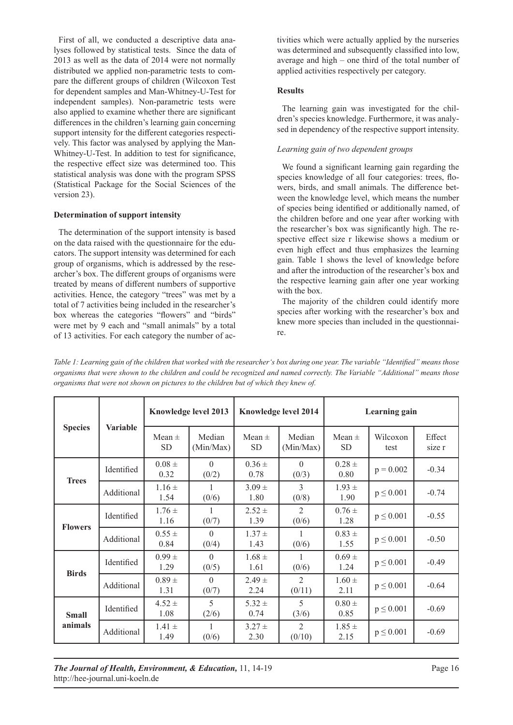First of all, we conducted a descriptive data analyses followed by statistical tests. Since the data of 2013 as well as the data of 2014 were not normally distributed we applied non-parametric tests to compare the different groups of children (Wilcoxon Test for dependent samples and Man-Whitney-U-Test for independent samples). Non-parametric tests were also applied to examine whether there are significant differences in the children's learning gain concerning support intensity for the different categories respectively. This factor was analysed by applying the Man-Whitney-U-Test. In addition to test for significance, the respective effect size was determined too. This statistical analysis was done with the program SPSS (Statistical Package for the Social Sciences of the version 23).

# **Determination of support intensity**

The determination of the support intensity is based on the data raised with the questionnaire for the educators. The support intensity was determined for each group of organisms, which is addressed by the researcher's box. The different groups of organisms were treated by means of different numbers of supportive activities. Hence, the category "trees" was met by a total of 7 activities being included in the researcher's box whereas the categories "flowers" and "birds" were met by 9 each and "small animals" by a total of 13 activities. For each category the number of activities which were actually applied by the nurseries was determined and subsequently classified into low, average and high – one third of the total number of applied activities respectively per category.

# **Results**

The learning gain was investigated for the children's species knowledge. Furthermore, it was analysed in dependency of the respective support intensity.

# *Learning gain of two dependent groups*

We found a significant learning gain regarding the species knowledge of all four categories: trees, flowers, birds, and small animals. The difference between the knowledge level, which means the number of species being identified or additionally named, of the children before and one year after working with the researcher's box was significantly high. The respective effect size r likewise shows a medium or even high effect and thus emphasizes the learning gain. Table 1 shows the level of knowledge before and after the introduction of the researcher's box and the respective learning gain after one year working with the box.

The majority of the children could identify more species after working with the researcher's box and knew more species than included in the questionnaire.

| <b>Species</b>          | <b>Variable</b> | <b>Knowledge level 2013</b> |                     | Knowledge level 2014    |                          | Learning gain           |                  |                  |
|-------------------------|-----------------|-----------------------------|---------------------|-------------------------|--------------------------|-------------------------|------------------|------------------|
|                         |                 | Mean $\pm$<br><b>SD</b>     | Median<br>(Min/Max) | Mean $\pm$<br><b>SD</b> | Median<br>(Min/Max)      | Mean $\pm$<br><b>SD</b> | Wilcoxon<br>test | Effect<br>size r |
| <b>Trees</b>            | Identified      | $0.08 \pm$<br>0.32          | $\Omega$<br>(0/2)   | $0.36 \pm$<br>0.78      | $\Omega$<br>(0/3)        | $0.28 \pm$<br>0.80      | $p = 0.002$      | $-0.34$          |
|                         | Additional      | $1.16 \pm$<br>1.54          | 1<br>(0/6)          | $3.09 \pm$<br>1.80      | 3<br>(0/8)               | $1.93 \pm$<br>1.90      | $p \leq 0.001$   | $-0.74$          |
| <b>Flowers</b>          | Identified      | $1.76 \pm$<br>1.16          | (0/7)               | $2.52 \pm$<br>1.39      | $\mathfrak{D}$<br>(0/6)  | $0.76 \pm$<br>1.28      | $p \le 0.001$    | $-0.55$          |
|                         | Additional      | $0.55 \pm$<br>0.84          | $\Omega$<br>(0/4)   | $1.37 \pm$<br>1.43      | 1<br>(0/6)               | $0.83 \pm$<br>1.55      | $p \le 0.001$    | $-0.50$          |
| <b>Birds</b>            | Identified      | $0.99 \pm$<br>1.29          | $\Omega$<br>(0/5)   | $1.68 \pm$<br>1.61      | (0/6)                    | $0.69 \pm$<br>1.24      | $p \le 0.001$    | $-0.49$          |
|                         | Additional      | $0.89 +$<br>1.31            | $\Omega$<br>(0/7)   | $2.49 \pm$<br>2.24      | $\mathfrak{D}$<br>(0/11) | $1.60 \pm$<br>2.11      | $p \le 0.001$    | $-0.64$          |
| <b>Small</b><br>animals | Identified      | $4.52 \pm$<br>1.08          | 5<br>(2/6)          | $5.32 \pm$<br>0.74      | 5<br>(3/6)               | $0.80 \pm$<br>0.85      | $p \le 0.001$    | $-0.69$          |
|                         | Additional      | $1.41 \pm$<br>1.49          | 1<br>(0/6)          | $3.27 \pm$<br>2.30      | $\mathfrak{D}$<br>(0/10) | $1.85 \pm$<br>2.15      | $p \le 0.001$    | $-0.69$          |

*Table 1: Learning gain of the children that worked with the researcher's box during one year. The variable "Identified" means those organisms that were shown to the children and could be recognized and named correctly. The Variable "Additional" means those organisms that were not shown on pictures to the children but of which they knew of.*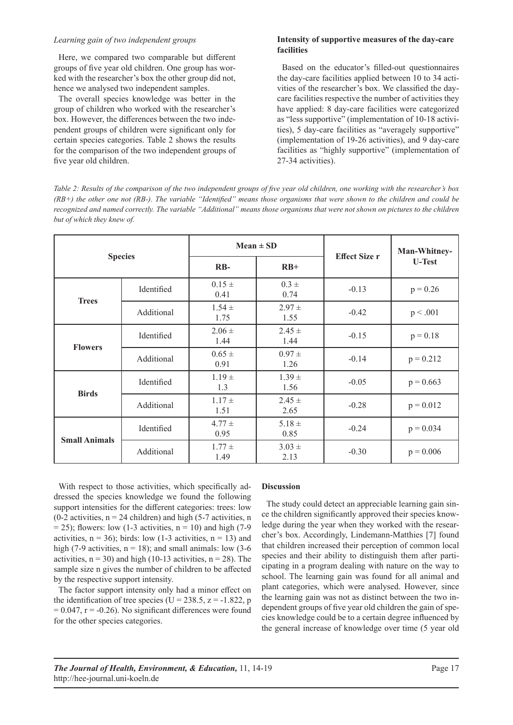#### *Learning gain of two independent groups*

Here, we compared two comparable but different groups of five year old children. One group has worked with the researcher's box the other group did not, hence we analysed two independent samples.

The overall species knowledge was better in the group of children who worked with the researcher's box. However, the differences between the two independent groups of children were significant only for certain species categories. Table 2 shows the results for the comparison of the two independent groups of five year old children.

## **Intensity of supportive measures of the day-care facilities**

Based on the educator's filled-out questionnaires the day-care facilities applied between 10 to 34 activities of the researcher's box. We classified the daycare facilities respective the number of activities they have applied: 8 day-care facilities were categorized as "less supportive" (implementation of 10-18 activities), 5 day-care facilities as "averagely supportive" (implementation of 19-26 activities), and 9 day-care facilities as "highly supportive" (implementation of 27-34 activities).

*Table 2: Results of the comparison of the two independent groups of five year old children, one working with the researcher's box (RB+) the other one not (RB-). The variable "Identified" means those organisms that were shown to the children and could be recognized and named correctly. The variable "Additional" means those organisms that were not shown on pictures to the children but of which they knew of.* 

|                      | <b>Species</b> |                    | $Mean \pm SD$      | <b>Effect Size r</b> | Man-Whitney-<br><b>U-Test</b> |  |
|----------------------|----------------|--------------------|--------------------|----------------------|-------------------------------|--|
|                      |                | $RB-$              | $RB+$              |                      |                               |  |
| <b>Trees</b>         | Identified     | $0.15 \pm$<br>0.41 | $0.3 \pm$<br>0.74  | $-0.13$              | $p = 0.26$                    |  |
|                      | Additional     | $1.54 \pm$<br>1.75 | $2.97 \pm$<br>1.55 | $-0.42$              | p < .001                      |  |
|                      | Identified     | $2.06 \pm$<br>1.44 | $2.45 \pm$<br>1.44 | $-0.15$              | $p = 0.18$                    |  |
| <b>Flowers</b>       | Additional     | $0.65 \pm$<br>0.91 | $0.97 \pm$<br>1.26 | $-0.14$              | $p = 0.212$                   |  |
| <b>Birds</b>         | Identified     | $1.19 \pm$<br>1.3  | $1.39 \pm$<br>1.56 | $-0.05$              | $p = 0.663$                   |  |
|                      | Additional     | $1.17 \pm$<br>1.51 | $2.45 \pm$<br>2.65 | $-0.28$              | $p = 0.012$                   |  |
| <b>Small Animals</b> | Identified     | $4.77 \pm$<br>0.95 | $5.18 \pm$<br>0.85 | $-0.24$              | $p = 0.034$                   |  |
|                      | Additional     | $1.77 \pm$<br>1.49 | $3.03 \pm$<br>2.13 | $-0.30$              | $p = 0.006$                   |  |

With respect to those activities, which specifically addressed the species knowledge we found the following support intensities for the different categories: trees: low (0-2 activities,  $n = 24$  children) and high (5-7 activities, n  $= 25$ ); flowers: low (1-3 activities,  $n = 10$ ) and high (7-9 activities,  $n = 36$ ; birds: low (1-3 activities,  $n = 13$ ) and high (7-9 activities,  $n = 18$ ); and small animals: low (3-6) activities,  $n = 30$ ) and high (10-13 activities,  $n = 28$ ). The sample size n gives the number of children to be affected by the respective support intensity.

The factor support intensity only had a minor effect on the identification of tree species (U = 238.5,  $z = -1.822$ , p  $= 0.047$ ,  $r = -0.26$ ). No significant differences were found for the other species categories.

## **Discussion**

The study could detect an appreciable learning gain since the children significantly approved their species knowledge during the year when they worked with the researcher's box. Accordingly, Lindemann-Matthies [7] found that children increased their perception of common local species and their ability to distinguish them after participating in a program dealing with nature on the way to school. The learning gain was found for all animal and plant categories, which were analysed. However, since the learning gain was not as distinct between the two independent groups of five year old children the gain of species knowledge could be to a certain degree influenced by the general increase of knowledge over time (5 year old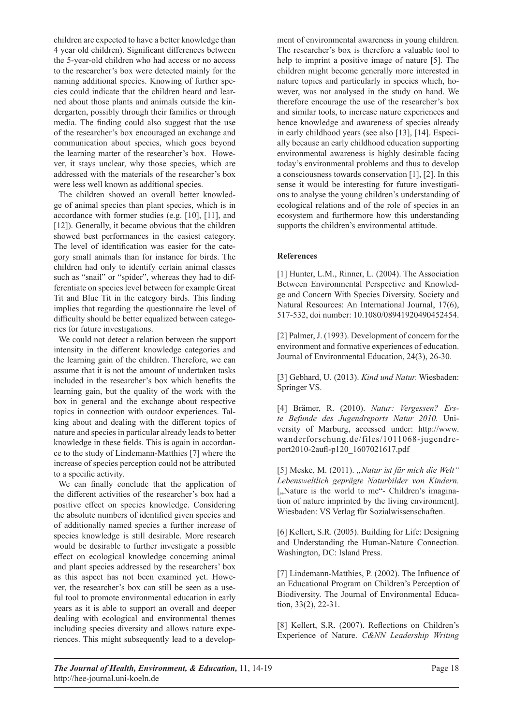children are expected to have a better knowledge than 4 year old children). Significant differences between the 5-year-old children who had access or no access to the researcher's box were detected mainly for the naming additional species. Knowing of further species could indicate that the children heard and learned about those plants and animals outside the kindergarten, possibly through their families or through media. The finding could also suggest that the use of the researcher's box encouraged an exchange and communication about species, which goes beyond the learning matter of the researcher's box. However, it stays unclear, why those species, which are addressed with the materials of the researcher's box were less well known as additional species.

The children showed an overall better knowledge of animal species than plant species, which is in accordance with former studies (e.g. [10], [11], and [12]). Generally, it became obvious that the children showed best performances in the easiest category. The level of identification was easier for the category small animals than for instance for birds. The children had only to identify certain animal classes such as "snail" or "spider", whereas they had to differentiate on species level between for example Great Tit and Blue Tit in the category birds. This finding implies that regarding the questionnaire the level of difficulty should be better equalized between categories for future investigations.

We could not detect a relation between the support intensity in the different knowledge categories and the learning gain of the children. Therefore, we can assume that it is not the amount of undertaken tasks included in the researcher's box which benefits the learning gain, but the quality of the work with the box in general and the exchange about respective topics in connection with outdoor experiences. Talking about and dealing with the different topics of nature and species in particular already leads to better knowledge in these fields. This is again in accordance to the study of Lindemann-Matthies [7] where the increase of species perception could not be attributed to a specific activity.

We can finally conclude that the application of the different activities of the researcher's box had a positive effect on species knowledge. Considering the absolute numbers of identified given species and of additionally named species a further increase of species knowledge is still desirable. More research would be desirable to further investigate a possible effect on ecological knowledge concerning animal and plant species addressed by the researchers' box as this aspect has not been examined yet. However, the researcher's box can still be seen as a useful tool to promote environmental education in early years as it is able to support an overall and deeper dealing with ecological and environmental themes including species diversity and allows nature experiences. This might subsequently lead to a development of environmental awareness in young children. The researcher's box is therefore a valuable tool to help to imprint a positive image of nature [5]. The children might become generally more interested in nature topics and particularly in species which, however, was not analysed in the study on hand. We therefore encourage the use of the researcher's box and similar tools, to increase nature experiences and hence knowledge and awareness of species already in early childhood years (see also [13], [14]. Especially because an early childhood education supporting environmental awareness is highly desirable facing today's environmental problems and thus to develop a consciousness towards conservation [1], [2]. In this sense it would be interesting for future investigations to analyse the young children's understanding of ecological relations and of the role of species in an ecosystem and furthermore how this understanding supports the children's environmental attitude.

# **References**

[1] Hunter, L.M., Rinner, L. (2004). The Association Between Environmental Perspective and Knowledge and Concern With Species Diversity. Society and Natural Resources: An International Journal, 17(6), 517-532, doi number: 10.1080/08941920490452454.

[2] Palmer, J. (1993). Development of concern for the environment and formative experiences of education. Journal of Environmental Education, 24(3), 26-30.

[3] Gebhard, U. (2013). *Kind und Natur.* Wiesbaden: Springer VS.

[4] Brämer, R. (2010). *Natur: Vergessen? Erste Befunde des Jugendreports Natur 2010.* University of Marburg, accessed under: http://www. wanderforschung.de/files/1011068-jugendreport2010-2aufl-p120\_1607021617.pdf

[5] Meske, M. (2011). "Natur ist für mich die Welt" *Lebensweltlich geprägte Naturbilder von Kindern.* [,,Nature is the world to me"- Children's imagination of nature imprinted by the living environment]. Wiesbaden: VS Verlag für Sozialwissenschaften.

[6] Kellert, S.R. (2005). Building for Life: Designing and Understanding the Human-Nature Connection. Washington, DC: Island Press.

[7] Lindemann-Matthies, P. (2002). The Influence of an Educational Program on Children's Perception of Biodiversity. The Journal of Environmental Education, 33(2), 22-31.

[8] Kellert, S.R. (2007). Reflections on Children's Experience of Nature. *C&NN Leadership Writing*